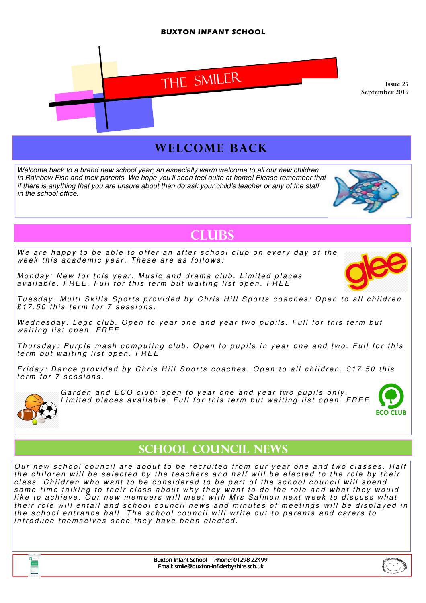#### BUXTON INFANT SCHOOL



## WELCOME BACK

Welcome back to a brand new school year; an especially warm welcome to all our new children in Rainbow Fish and their parents. We hope you'll soon feel quite at home! Please remember that if there is anything that you are unsure about then do ask your child's teacher or any of the staff in the school office.



# **CLUBS**

We are happy to be able to offer an after school club on every day of the week this academic year. These are as follows:

Monday: New for this year. Music and drama club. Limited places available. FREE. Full for this term but waiting list open. FREE

Tuesday: Multi Skills Sports provided by Chris Hill Sports coaches: Open to all children.  $£17.50$  this term for  $7$  sessions.

Wednesday: Lego club. Open to year one and year two pupils. Full for this term but waiting list open. FREE

Thursday: Purple mash computing club: Open to pupils in year one and two. Full for this term but waiting list open. FREE

Friday: Dance provided by Chris Hill Sports coaches. Open to all children. £17.50 this term for 7 sessions.



Garden and ECO club: open to year one and year two pupils only. Limited places available. Full for this term but waiting list open. FREE



## SCHOOL COUNCIL NEWS

Our new school council are about to be recruited from our year one and two classes. Half the children will be selected by the teachers and half will be elected to the role by their class. Children who want to be considered to be part of the school council will spend some time talking to their class about why they want to do the role and what they would like to achieve. Our new members will meet with Mrs Salmon next week to discuss what their role will entail and school council news and minutes of meetings will be displayed in the school entrance hall. The school council will write out to parents and carers to introduce themselves once they have been elected.



Buxton Infant School Phone: 01298 22499 Email: smile@buxton-inf.derbyshire.sch.uk

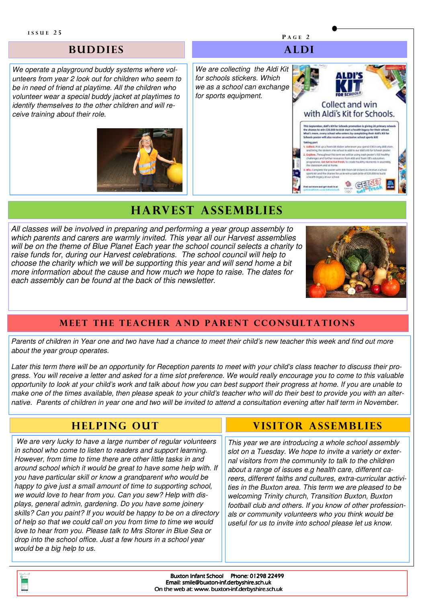#### **BUDDIES**

We operate a playground buddy systems where volunteers from year 2 look out for children who seem to be in need of friend at playtime. All the children who volunteer wear a special buddy jacket at playtimes to identify themselves to the other children and will receive training about their role.



We are collecting the Aldi Kit for schools stickers. Which we as a school can exchange for sports equipment.



P A G E 2

A LD I

## **HARVEST ASSEMBLIES**

All classes will be involved in preparing and performing a year group assembly to which parents and carers are warmly invited. This year all our Harvest assemblies will be on the theme of Blue Planet Each year the school council selects a charity to raise funds for, during our Harvest celebrations. The school council will help to choose the charity which we will be supporting this year and will send home a bit more information about the cause and how much we hope to raise. The dates for each assembly can be found at the back of this newsletter.



#### MEET THE TEACHER AND PARENT CCONSULTATIONS

Parents of children in Year one and two have had a chance to meet their child's new teacher this week and find out more about the year group operates.

Later this term there will be an opportunity for Reception parents to meet with your child's class teacher to discuss their progress. You will receive a letter and asked for a time slot preference. We would really encourage you to come to this valuable opportunity to look at your child's work and talk about how you can best support their progress at home. If you are unable to make one of the times available, then please speak to your child's teacher who will do their best to provide you with an alternative. Parents of children in year one and two will be invited to attend a consultation evening after half term in November.

## **HELPING OUT**

 We are very lucky to have a large number of regular volunteers in school who come to listen to readers and support learning. However, from time to time there are other little tasks in and around school which it would be great to have some help with. If you have particular skill or know a grandparent who would be happy to give just a small amount of time to supporting school, we would love to hear from you. Can you sew? Help with displays, general admin, gardening. Do you have some joinery skills? Can you paint? If you would be happy to be on a directory of help so that we could call on you from time to time we would love to hear from you. Please talk to Mrs Storer in Blue Sea or drop into the school office. Just a few hours in a school year would be a big help to us.

### **VISITOR ASSEMBLIES**

This year we are introducing a whole school assembly slot on a Tuesday. We hope to invite a variety or external visitors from the community to talk to the children about a range of issues e.g health care, different careers, different faiths and cultures, extra-curricular activities in the Buxton area. This term we are pleased to be welcoming Trinity church, Transition Buxton, Buxton football club and others. If you know of other professionals or community volunteers who you think would be useful for us to invite into school please let us know.

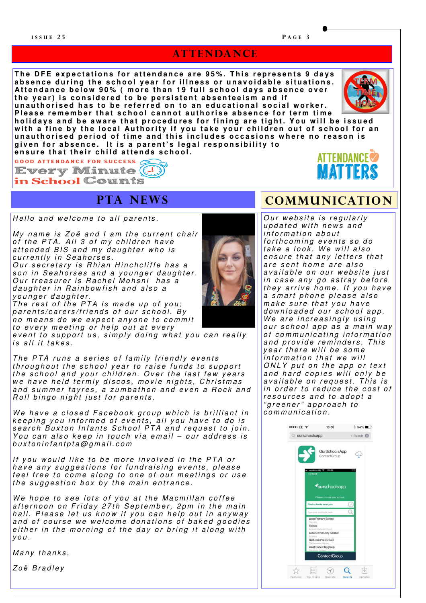#### **ATTENDANCE**

The DFE expectations for attendance are 95%. This represents 9 days absence during the school year for illness or unavoidable situations. Attendance below 90% (more than 19 full school days absence over the year) is considered to be persistent absenteeism and if unauthorised has to be referred on to an educational social worker.



Please remember that school cannot authorise absence for term time holidays and be aware that procedures for fining are tight. You will be issued with a fine by the local Authority if you take your children out of school for an unauthorised period of time and this includes occasions where no reason is given for absence. It is a parent's legal responsibility to

ensure that their child attends school.

**GOOD ATTENDANCE FOR SUCCESS Every Minute**  $(4)$ 

in School Counts

## **PTA NEWS**

Hello and welcome to all parents.

My name is Zoë and  $I$  am the current chair of the PTA. All  $3$  of my children have attended BIS and my daughter who is currently in Seahorses.

Our secretary is Rhian Hinchcliffe has a son in Seahorses and a younger daughter. Our treasurer is Rachel Mohsni has a d a ughter in Rainbow fish and also a younger daughter.

The rest of the PTA is made up of you; parents/carers/friends of our school. By no means do we expect anyone to commit to every meeting or help out at every

event to support us, simply doing what you can really  $is$  all it takes.

The PTA runs a series of family friendly events throughout the school year to raise funds to support the school and your children. Over the last few years we have held termly discos, movie nights, Christmas and summer fayres, a zumbathon and even a Rock and Roll bingo night just for parents.

We have a closed Facebook group which is brilliant in keeping you informed of events, all you have to do is  $se$ arch Buxton Infants School PTA and request to join. You can also keep in touch via email – our address is  $b$ uxtonin fant pt a $\omega$  q m ail.com

If you would like to be more involved in the PTA or have any suggestions for fundraising events, please feel free to come along to one of our meetings or use the suggestion box by the main entrance.

We hope to see lots of you at the Macmillan coffee afternoon on Friday 27th September, 2pm in the main hall. Please let us know if you can help out in anyway and of course we welcome donations of baked goodies either in the morning of the day or bring it along with  $V 0 U$ .

Many thanks,

Zoë Bradley

are sent home are also available on our website just in case any go astray before they arrive home. If you have a smart phone please also make sure that you have downloaded our school app. We are increasingly using our school app as a main way of communicating information and provide reminders. This y e ar there will be some information that we will  $ONLY$  put on the app or text and hard copies will only be  $a$  v ai l a b l  $e$  on r equest. This is in order to reduce the cost of resources and to adopt a " greener" approach to

Our website is regularly updated with news and information about

**COMMUNICATION** 

**ATTENDANCE** 

forthcoming events so do take a look. We will also ensure that any letters that